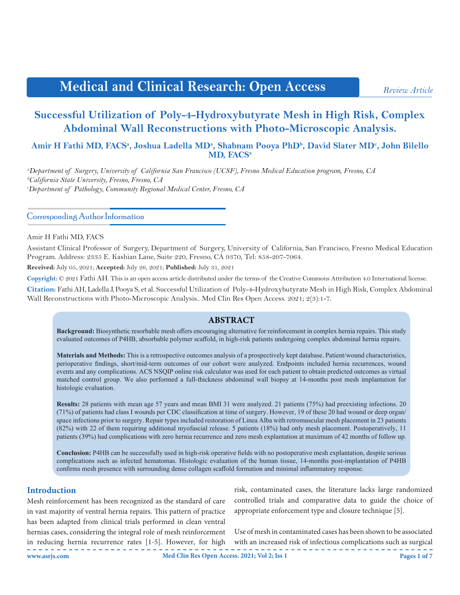# **Successful Utilization of Poly-4-Hydroxybutyrate Mesh in High Risk, Complex Abdominal Wall Reconstructions with Photo-Microscopic Analysis.**

# Amir H Fathi MD, FACS<sup>a</sup>, Joshua Ladella MD<sup>a</sup>, Shabnam Pooya PhD<sup>b</sup>, David Slater MD<sup>c</sup>, John Bilello **MD, FACSa**

*a Department of Surgery, University of California San Francisco (UCSF), Fresno Medical Education program, Fresno, CA b California State University, Fresno, Fresno, CA c Department of Pathology, Community Regional Medical Center, Fresno, CA*

Corresponding Author Information

Amir H Fathi MD, FACS

Assistant Clinical Professor of Surgery, Department of Surgery, University of California, San Francisco, Fresno Medical Education Program. Address: 2335 E. Kashian Lane, Suite 220, Fresno, CA 9370, Tel: 858-207-7064.

**Received:** July 05, 2021; **Accepted:** July 26, 2021; **Published:** July 31, 2021

**Copyright:** © 2021 Fathi AH. This is an open access article distributed under the terms of the Creative Commons Attribution 4.0 International license.

**Citation:** Fathi AH, Ladella J, Pooya S, et al. Successful Utilization of Poly-4-Hydroxybutyrate Mesh in High Risk, Complex Abdominal Wall Reconstructions with Photo-Microscopic Analysis.. Med Clin Res Open Access. 2021; 2(3):1-7.

# **ABSTRACT**

**Background:** Biosynthetic resorbable mesh offers encouraging alternative for reinforcement in complex hernia repairs. This study evaluated outcomes of P4HB, absorbable polymer scaffold, in high-risk patients undergoing complex abdominal hernia repairs.

**Materials and Methods:** This is a retrospective outcomes analysis of a prospectively kept database. Patient/wound characteristics, perioperative findings, short/mid-term outcomes of our cohort were analyzed. Endpoints included hernia recurrences, wound events and any complications. ACS NSQIP online risk calculator was used for each patient to obtain predicted outcomes as virtual matched control group. We also performed a full-thickness abdominal wall biopsy at 14-months post mesh implantation for histologic evaluation.

**Results:** 28 patients with mean age 57 years and mean BMI 31 were analyzed. 21 patients (75%) had preexisting infections. 20 (71%) of patients had class I wounds per CDC classification at time of surgery. However, 19 of these 20 had wound or deep organ/ space infections prior to surgery. Repair types included restoration of Linea Alba with retromuscular mesh placement in 23 patients (82%) with 22 of them requiring additional myofascial release. 5 patients (18%) had only mesh placement. Postoperatively, 11 patients (39%) had complications with zero hernia recurrence and zero mesh explantation at maximum of 42 months of follow up.

**Conclusion:** P4HB can be successfully used in high-risk operative fields with no postoperative mesh explantation, despite serious complications such as infected hematomas. Histologic evaluation of the human tissue, 14-months post-implantation of P4HB confirms mesh presence with surrounding dense collagen scaffold formation and minimal inflammatory response.

# **Introduction**

Mesh reinforcement has been recognized as the standard of care in vast majority of ventral hernia repairs. This pattern of practice has been adapted from clinical trials performed in clean ventral hernias cases, considering the integral role of mesh reinforcement in reducing hernia recurrence rates [1-5]. However, for high risk, contaminated cases, the literature lacks large randomized controlled trials and comparative data to guide the choice of appropriate enforcement type and closure technique [5].

Use of mesh in contaminated cases has been shown to be associated with an increased risk of infectious complications such as surgical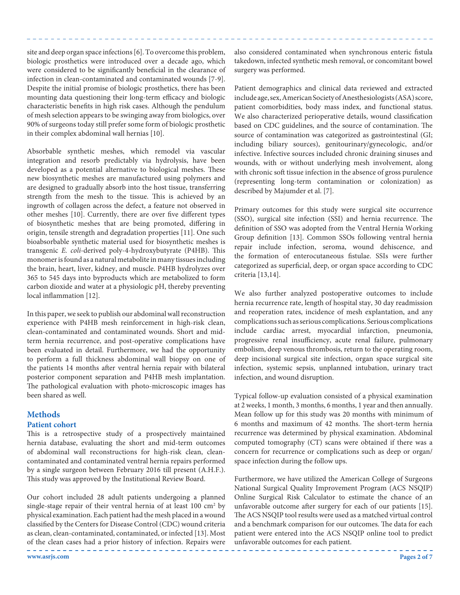site and deep organ space infections [6]. To overcome this problem, biologic prosthetics were introduced over a decade ago, which were considered to be significantly beneficial in the clearance of infection in clean-contaminated and contaminated wounds [7-9]. Despite the initial promise of biologic prosthetics, there has been mounting data questioning their long-term efficacy and biologic characteristic benefits in high risk cases. Although the pendulum of mesh selection appears to be swinging away from biologics, over 90% of surgeons today still prefer some form of biologic prosthetic in their complex abdominal wall hernias [10].

Absorbable synthetic meshes, which remodel via vascular integration and resorb predictably via hydrolysis, have been developed as a potential alternative to biological meshes. These new biosynthetic meshes are manufactured using polymers and are designed to gradually absorb into the host tissue, transferring strength from the mesh to the tissue. This is achieved by an ingrowth of collagen across the defect, a feature not observed in other meshes [10]. Currently, there are over five different types of biosynthetic meshes that are being promoted, differing in origin, tensile strength and degradation properties [11]. One such bioabsorbable synthetic material used for biosynthetic meshes is transgenic *E. coli-*derived poly-4-hydroxybutyrate (P4HB). This monomer is found as a natural metabolite in many tissues including the brain, heart, liver, kidney, and muscle. P4HB hydrolyzes over 365 to 545 days into byproducts which are metabolized to form carbon dioxide and water at a physiologic pH, thereby preventing local inflammation [12].

In this paper, we seek to publish our abdominal wall reconstruction experience with P4HB mesh reinforcement in high-risk clean, clean-contaminated and contaminated wounds. Short and midterm hernia recurrence, and post-operative complications have been evaluated in detail. Furthermore, we had the opportunity to perform a full thickness abdominal wall biopsy on one of the patients 14 months after ventral hernia repair with bilateral posterior component separation and P4HB mesh implantation. The pathological evaluation with photo-microscopic images has been shared as well.

# **Methods**

# **Patient cohort**

This is a retrospective study of a prospectively maintained hernia database, evaluating the short and mid-term outcomes of abdominal wall reconstructions for high-risk clean, cleancontaminated and contaminated ventral hernia repairs performed by a single surgeon between February 2016 till present (A.H.F.). This study was approved by the Institutional Review Board.

Our cohort included 28 adult patients undergoing a planned single-stage repair of their ventral hernia of at least  $100 \text{ cm}^2$  by physical examination. Each patient had the mesh placed in a wound classified by the Centers for Disease Control (CDC) wound criteria as clean, clean-contaminated, contaminated, or infected [13]. Most of the clean cases had a prior history of infection. Repairs were

also considered contaminated when synchronous enteric fistula takedown, infected synthetic mesh removal, or concomitant bowel surgery was performed.

Patient demographics and clinical data reviewed and extracted include age, sex, American Society of Anesthesiologists (ASA) score, patient comorbidities, body mass index, and functional status. We also characterized perioperative details, wound classification based on CDC guidelines, and the source of contamination. The source of contamination was categorized as gastrointestinal (GI; including biliary sources), genitourinary/gynecologic, and/or infective. Infective sources included chronic draining sinuses and wounds, with or without underlying mesh involvement, along with chronic soft tissue infection in the absence of gross purulence (representing long-term contamination or colonization) as described by Majumder et al. [7].

Primary outcomes for this study were surgical site occurrence (SSO), surgical site infection (SSI) and hernia recurrence. The definition of SSO was adopted from the Ventral Hernia Working Group definition [13]. Common SSOs following ventral hernia repair include infection, seroma, wound dehiscence, and the formation of enterocutaneous fistulae. SSIs were further categorized as superficial, deep, or organ space according to CDC criteria [13,14].

We also further analyzed postoperative outcomes to include hernia recurrence rate, length of hospital stay, 30 day readmission and reoperation rates, incidence of mesh explantation, and any complications such as serious complications. Serious complications include cardiac arrest, myocardial infarction, pneumonia, progressive renal insufficiency, acute renal failure, pulmonary embolism, deep venous thrombosis, return to the operating room, deep incisional surgical site infection, organ space surgical site infection, systemic sepsis, unplanned intubation, urinary tract infection, and wound disruption.

Typical follow-up evaluation consisted of a physical examination at 2 weeks, 1 month, 3 months, 6 months, 1 year and then annually. Mean follow up for this study was 20 months with minimum of 6 months and maximum of 42 months. The short-term hernia recurrence was determined by physical examination. Abdominal computed tomography (CT) scans were obtained if there was a concern for recurrence or complications such as deep or organ/ space infection during the follow ups.

Furthermore, we have utilized the American College of Surgeons National Surgical Quality Improvement Program (ACS NSQIP) Online Surgical Risk Calculator to estimate the chance of an unfavorable outcome after surgery for each of our patients [15]. The ACS NSQIP tool results were used as a matched virtual control and a benchmark comparison for our outcomes. The data for each patient were entered into the ACS NSQIP online tool to predict unfavorable outcomes for each patient.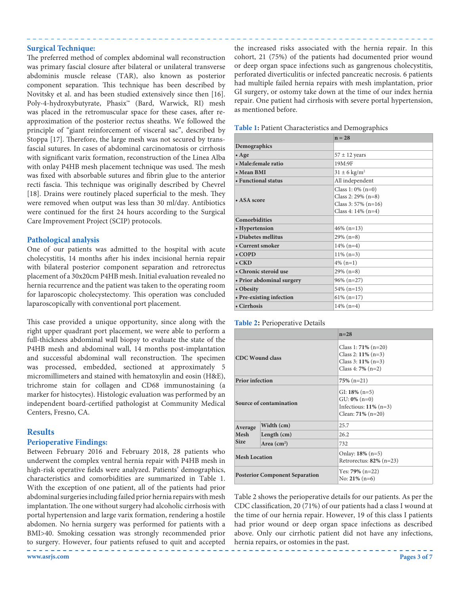#### **Surgical Technique:**

The preferred method of complex abdominal wall reconstruction was primary fascial closure after bilateral or unilateral transverse abdominis muscle release (TAR), also known as posterior component separation. This technique has been described by Novitsky et al. and has been studied extensively since then [16]. Poly-4-hydroxybutyrate, Phasix™ (Bard, Warwick, RI) mesh was placed in the retromuscular space for these cases, after reapproximation of the posterior rectus sheaths. We followed the principle of "giant reinforcement of visceral sac", described by Stoppa [17]. Therefore, the large mesh was not secured by transfascial sutures. In cases of abdominal carcinomatosis or cirrhosis with significant varix formation, reconstruction of the Linea Alba with onlay P4HB mesh placement technique was used. The mesh was fixed with absorbable sutures and fibrin glue to the anterior recti fascia. This technique was originally described by Chevrel [18]. Drains were routinely placed superficial to the mesh. They were removed when output was less than 30 ml/day. Antibiotics were continued for the first 24 hours according to the Surgical Care Improvement Project (SCIP) protocols.

#### **Pathological analysis**

One of our patients was admitted to the hospital with acute cholecystitis, 14 months after his index incisional hernia repair with bilateral posterior component separation and retrorectus placement of a 30x20cm P4HB mesh. Initial evaluation revealed no hernia recurrence and the patient was taken to the operating room for laparoscopic cholecystectomy. This operation was concluded laparoscopically with conventional port placement.

This case provided a unique opportunity, since along with the right upper quadrant port placement, we were able to perform a full-thickness abdominal wall biopsy to evaluate the state of the P4HB mesh and abdominal wall, 14 months post-implantation and successful abdominal wall reconstruction. The specimen was processed, embedded, sectioned at approximately 5 micromillimeters and stained with hematoxylin and eosin (H&E), trichrome stain for collagen and CD68 immunostaining (a marker for histocytes). Histologic evaluation was performed by an independent board-certified pathologist at Community Medical Centers, Fresno, CA.

#### **Results**

#### **Perioperative Findings:**

Between February 2016 and February 2018, 28 patients who underwent the complex ventral hernia repair with P4HB mesh in high-risk operative fields were analyzed. Patients' demographics, characteristics and comorbidities are summarized in Table 1. With the exception of one patient, all of the patients had prior abdominal surgeries including failed prior hernia repairs with mesh implantation. The one without surgery had alcoholic cirrhosis with portal hypertension and large varix formation, rendering a hostile abdomen. No hernia surgery was performed for patients with a BMI>40. Smoking cessation was strongly recommended prior to surgery. However, four patients refused to quit and accepted

the increased risks associated with the hernia repair. In this cohort, 21 (75%) of the patients had documented prior wound or deep organ space infections such as gangrenous cholecystitis, perforated diverticulitis or infected pancreatic necrosis. 6 patients had multiple failed hernia repairs with mesh implantation, prior GI surgery, or ostomy take down at the time of our index hernia repair. One patient had cirrhosis with severe portal hypertension, as mentioned before.

|                           | $n = 28$                                                                                         |  |
|---------------------------|--------------------------------------------------------------------------------------------------|--|
| Demographics              |                                                                                                  |  |
| $\bullet$ Age             | $57 \pm 12$ years                                                                                |  |
| • Male: female ratio      | 19M:9F                                                                                           |  |
| • Mean BMI                | $31 \pm 6$ kg/m <sup>2</sup>                                                                     |  |
| • Functional status       | All independent                                                                                  |  |
| $\bullet$ ASA score       | Class 1: $0\%$ (n=0)<br>Class 2: $29\%$ (n=8)<br>Class 3: $57\%$ (n=16)<br>Class 4: $14\%$ (n=4) |  |
| Comorbidities             |                                                                                                  |  |
| • Hypertension            | $46\%$ (n=13)                                                                                    |  |
| • Diabetes mellitus       | $29\% (n=8)$                                                                                     |  |
| • Current smoker          | $14\%$ (n=4)                                                                                     |  |
| $\cdot$ COPD              | $11\% (n=3)$                                                                                     |  |
| $\cdot$ CKD               | $4\%$ (n=1)                                                                                      |  |
| • Chronic steroid use     | $29\% (n=8)$                                                                                     |  |
| • Prior abdominal surgery | $96\% (n=27)$                                                                                    |  |
| • Obesity                 | $54\%$ (n=15)                                                                                    |  |
| • Pre-existing infection  | $61\% (n=17)$                                                                                    |  |
| • Cirrhosis               | $14\%$ (n=4)                                                                                     |  |

| Table 1: Patient Characteristics and Demographics |  |  |
|---------------------------------------------------|--|--|
|---------------------------------------------------|--|--|

#### **Table 2:** Perioperative Details

|                                       |               | $n=28$                                                                                           |  |
|---------------------------------------|---------------|--------------------------------------------------------------------------------------------------|--|
| <b>CDC</b> Wound class                |               | Class 1: $71\%$ (n=20)<br>Class 2: $11\%$ (n=3)<br>Class 3: $11\%$ (n=3)<br>Class 4: $7\%$ (n=2) |  |
| <b>Prior infection</b>                |               | $75\%$ (n=21)                                                                                    |  |
| Source of contamination               |               | GI: $18\%$ (n=5)<br>$GU: 0\%$ (n=0)<br>Infectious: $11\%$ (n=3)<br>Clean: $71\%$ (n=20)          |  |
| Average                               | Width (cm)    | 25.7                                                                                             |  |
| Mesh<br><b>Size</b>                   | Length $(cm)$ | 26.2                                                                                             |  |
|                                       | Area $(cm2)$  | 732                                                                                              |  |
| <b>Mesh Location</b>                  |               | Onlay: $18\%$ (n=5)<br>Retrorectus: 82% (n=23)                                                   |  |
| <b>Posterior Component Separation</b> |               | Yes: $79\%$ (n=22)<br>No: $21\%$ (n=6)                                                           |  |

Table 2 shows the perioperative details for our patients. As per the CDC classification, 20 (71%) of our patients had a class I wound at the time of our hernia repair. However, 19 of this class I patients had prior wound or deep organ space infections as described above. Only our cirrhotic patient did not have any infections, hernia repairs, or ostomies in the past.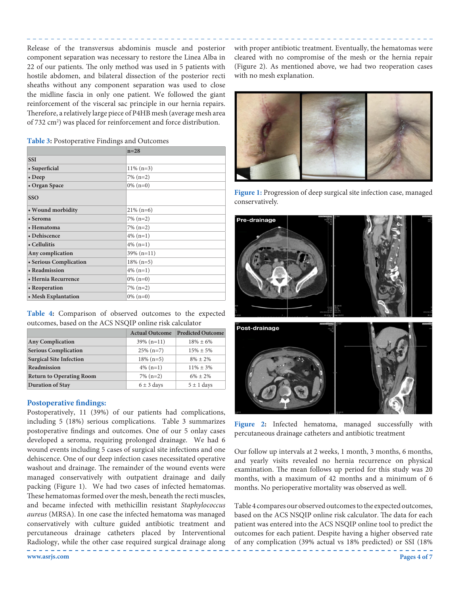Release of the transversus abdominis muscle and posterior component separation was necessary to restore the Linea Alba in 22 of our patients. The only method was used in 5 patients with hostile abdomen, and bilateral dissection of the posterior recti sheaths without any component separation was used to close the midline fascia in only one patient. We followed the giant reinforcement of the visceral sac principle in our hernia repairs. Therefore, a relatively large piece of P4HB mesh (average mesh area of 732 cm<sup>2</sup>) was placed for reinforcement and force distribution.

|  | Table 3: Postoperative Findings and Outcomes |  |
|--|----------------------------------------------|--|
|--|----------------------------------------------|--|

|                        | $n=28$        |
|------------------------|---------------|
| <b>SSI</b>             |               |
| • Superficial          | $11\% (n=3)$  |
| $\bullet$ Deep         | $7\%$ (n=2)   |
| • Organ Space          | $0\%$ (n=0)   |
| <b>SSO</b>             |               |
| • Wound morbidity      | $21\% (n=6)$  |
| • Seroma               | $7\%$ (n=2)   |
| • Hematoma             | $7\%$ (n=2)   |
| • Dehiscence           | $4\%$ (n=1)   |
| • Cellulitis           | $4\%$ (n=1)   |
| Any complication       | $39\% (n=11)$ |
| • Serious Complication | $18\%$ (n=5)  |
| • Readmission          | $4\%$ (n=1)   |
| • Hernia Recurrence    | $0\%$ (n=0)   |
| • Reoperation          | $7\%$ (n=2)   |
| • Mesh Explantation    | $0\%$ (n=0)   |

**Table 4:** Comparison of observed outcomes to the expected outcomes, based on the ACS NSQIP online risk calculator

|                                 | <b>Actual Outcome</b> | <b>Predicted Outcome</b> |
|---------------------------------|-----------------------|--------------------------|
| <b>Any Complication</b>         | $39\% (n=11)$         | $18\% \pm 6\%$           |
| <b>Serious Complication</b>     | $25\%$ (n=7)          | $15\% \pm 5\%$           |
| <b>Surgical Site Infection</b>  | $18\%$ (n=5)          | $8\% + 2\%$              |
| <b>Readmission</b>              | $4\%$ (n=1)           | $11\% \pm 3\%$           |
| <b>Return to Operating Room</b> | $7\%$ (n=2)           | $6\% \pm 2\%$            |
| <b>Duration of Stay</b>         | $6 \pm 3$ days        | $5 \pm 1$ days           |

# **Postoperative findings:**

Postoperatively, 11 (39%) of our patients had complications, including 5 (18%) serious complications. Table 3 summarizes postoperative findings and outcomes. One of our 5 onlay cases developed a seroma, requiring prolonged drainage. We had 6 wound events including 5 cases of surgical site infections and one dehiscence. One of our deep infection cases necessitated operative washout and drainage. The remainder of the wound events were managed conservatively with outpatient drainage and daily packing (Figure 1). We had two cases of infected hematomas. These hematomas formed over the mesh, beneath the recti muscles, and became infected with methicillin resistant *Staphylococcus aureus* (MRSA). In one case the infected hematoma was managed conservatively with culture guided antibiotic treatment and percutaneous drainage catheters placed by Interventional Radiology, while the other case required surgical drainage along with proper antibiotic treatment. Eventually, the hematomas were cleared with no compromise of the mesh or the hernia repair (Figure 2). As mentioned above, we had two reoperation cases with no mesh explanation.



**Figure 1:** Progression of deep surgical site infection case, managed conservatively.



**Figure 2:** Infected hematoma, managed successfully with percutaneous drainage catheters and antibiotic treatment

Our follow up intervals at 2 weeks, 1 month, 3 months, 6 months, and yearly visits revealed no hernia recurrence on physical examination. The mean follows up period for this study was 20 months, with a maximum of 42 months and a minimum of 6 months. No perioperative mortality was observed as well.

Table 4 compares our observed outcomes to the expected outcomes, based on the ACS NSQIP online risk calculator. The data for each patient was entered into the ACS NSQIP online tool to predict the outcomes for each patient. Despite having a higher observed rate of any complication (39% actual vs 18% predicted) or SSI (18%

**www.asrjs.com Pages 4 of 7**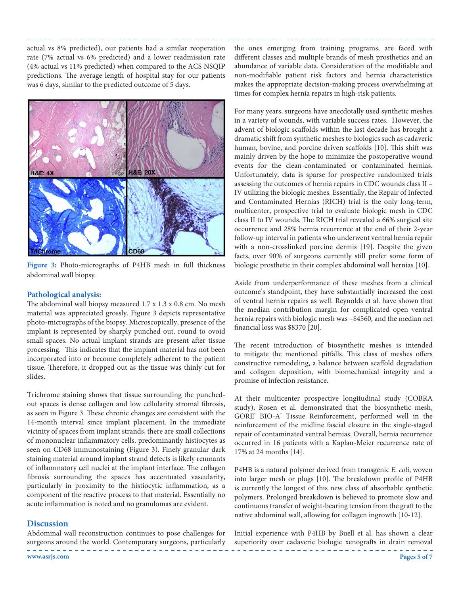actual vs 8% predicted), our patients had a similar reoperation rate (7% actual vs 6% predicted) and a lower readmission rate (4% actual vs 11% predicted) when compared to the ACS NSQIP predictions. The average length of hospital stay for our patients was 6 days, similar to the predicted outcome of 5 days.



**Figure 3:** Photo-micrographs of P4HB mesh in full thickness abdominal wall biopsy.

#### **Pathological analysis:**

The abdominal wall biopsy measured 1.7 x 1.3 x 0.8 cm. No mesh material was appreciated grossly. Figure 3 depicts representative photo-micrographs of the biopsy. Microscopically, presence of the implant is represented by sharply punched out, round to ovoid small spaces. No actual implant strands are present after tissue processing. This indicates that the implant material has not been incorporated into or become completely adherent to the patient tissue. Therefore, it dropped out as the tissue was thinly cut for slides.

Trichrome staining shows that tissue surrounding the punchedout spaces is dense collagen and low cellularity stromal fibrosis, as seen in Figure 3. These chronic changes are consistent with the 14-month interval since implant placement. In the immediate vicinity of spaces from implant strands, there are small collections of mononuclear inflammatory cells, predominantly histiocytes as seen on CD68 immunostaining (Figure 3). Finely granular dark staining material around implant strand defects is likely remnants of inflammatory cell nuclei at the implant interface. The collagen fibrosis surrounding the spaces has accentuated vascularity, particularly in proximity to the histiocytic inflammation, as a component of the reactive process to that material. Essentially no acute inflammation is noted and no granulomas are evident.

# **Discussion**

Abdominal wall reconstruction continues to pose challenges for surgeons around the world. Contemporary surgeons, particularly the ones emerging from training programs, are faced with different classes and multiple brands of mesh prosthetics and an abundance of variable data. Consideration of the modifiable and non-modifiable patient risk factors and hernia characteristics makes the appropriate decision-making process overwhelming at times for complex hernia repairs in high-risk patients.

For many years, surgeons have anecdotally used synthetic meshes in a variety of wounds, with variable success rates. However, the advent of biologic scaffolds within the last decade has brought a dramatic shift from synthetic meshes to biologics such as cadaveric human, bovine, and porcine driven scaffolds [10]. This shift was mainly driven by the hope to minimize the postoperative wound events for the clean-contaminated or contaminated hernias. Unfortunately, data is sparse for prospective randomized trials assessing the outcomes of hernia repairs in CDC wounds class II – IV utilizing the biologic meshes. Essentially, the Repair of Infected and Contaminated Hernias (RICH) trial is the only long-term, multicenter, prospective trial to evaluate biologic mesh in CDC class II to IV wounds. The RICH trial revealed a 66% surgical site occurrence and 28% hernia recurrence at the end of their 2-year follow-up interval in patients who underwent ventral hernia repair with a non-crosslinked porcine dermis [19]. Despite the given facts, over 90% of surgeons currently still prefer some form of biologic prosthetic in their complex abdominal wall hernias [10].

Aside from underperformance of these meshes from a clinical outcome's standpoint, they have substantially increased the cost of ventral hernia repairs as well. Reynolds et al. have shown that the median contribution margin for complicated open ventral hernia repairs with biologic mesh was –\$4560, and the median net financial loss was \$8370 [20].

The recent introduction of biosynthetic meshes is intended to mitigate the mentioned pitfalls. This class of meshes offers constructive remodeling, a balance between scaffold degradation and collagen deposition, with biomechanical integrity and a promise of infection resistance.

At their multicenter prospective longitudinal study (COBRA study), Rosen et al. demonstrated that the biosynthetic mesh, GORE<sup>®</sup> BIO-A<sup>®</sup> Tissue Reinforcement, performed well in the reinforcement of the midline fascial closure in the single-staged repair of contaminated ventral hernias. Overall, hernia recurrence occurred in 16 patients with a Kaplan-Meier recurrence rate of 17% at 24 months [14].

P4HB is a natural polymer derived from transgenic *E. coli*, woven into larger mesh or plugs [10]. The breakdown profile of P4HB is currently the longest of this new class of absorbable synthetic polymers. Prolonged breakdown is believed to promote slow and continuous transfer of weight-bearing tension from the graft to the native abdominal wall, allowing for collagen ingrowth [10-12].

Initial experience with P4HB by Buell et al. has shown a clear superiority over cadaveric biologic xenografts in drain removal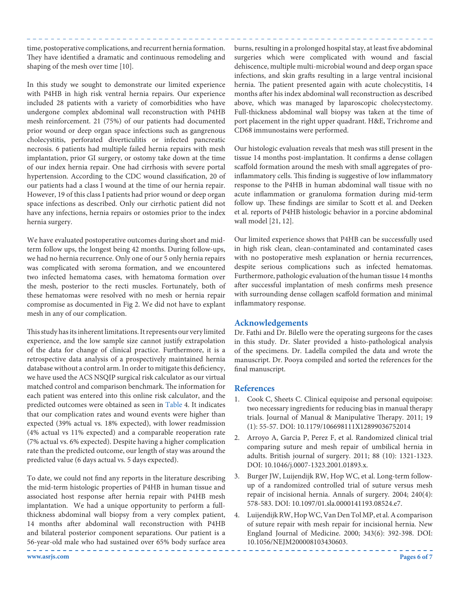time, postoperative complications, and recurrent hernia formation. They have identified a dramatic and continuous remodeling and shaping of the mesh over time [10].

In this study we sought to demonstrate our limited experience with P4HB in high risk ventral hernia repairs. Our experience included 28 patients with a variety of comorbidities who have undergone complex abdominal wall reconstruction with P4HB mesh reinforcement. 21 (75%) of our patients had documented prior wound or deep organ space infections such as gangrenous cholecystitis, perforated diverticulitis or infected pancreatic necrosis. 6 patients had multiple failed hernia repairs with mesh implantation, prior GI surgery, or ostomy take down at the time of our index hernia repair. One had cirrhosis with severe portal hypertension. According to the CDC wound classification, 20 of our patients had a class I wound at the time of our hernia repair. However, 19 of this class I patients had prior wound or deep organ space infections as described. Only our cirrhotic patient did not have any infections, hernia repairs or ostomies prior to the index hernia surgery.

We have evaluated postoperative outcomes during short and midterm follow ups, the longest being 42 months. During follow-ups, we had no hernia recurrence. Only one of our 5 only hernia repairs was complicated with seroma formation, and we encountered two infected hematoma cases, with hematoma formation over the mesh, posterior to the recti muscles. Fortunately, both of these hematomas were resolved with no mesh or hernia repair compromise as documented in Fig 2. We did not have to explant mesh in any of our complication.

This study has its inherent limitations. It represents our very limited experience, and the low sample size cannot justify extrapolation of the data for change of clinical practice. Furthermore, it is a retrospective data analysis of a prospectively maintained hernia database without a control arm. In order to mitigate this deficiency, we have used the ACS NSQIP surgical risk calculator as our virtual matched control and comparison benchmark. The information for each patient was entered into this online risk calculator, and the predicted outcomes were obtained as seen in Table 4. It indicates that our complication rates and wound events were higher than expected (39% actual vs. 18% expected), with lower readmission (4% actual vs 11% expected) and a comparable reoperation rate (7% actual vs. 6% expected). Despite having a higher complication rate than the predicted outcome, our length of stay was around the predicted value (6 days actual vs. 5 days expected).

To date, we could not find any reports in the literature describing the mid-term histologic properties of P4HB in human tissue and associated host response after hernia repair with P4HB mesh implantation. We had a unique opportunity to perform a fullthickness abdominal wall biopsy from a very complex patient, 14 months after abdominal wall reconstruction with P4HB and bilateral posterior component separations. Our patient is a 56-year-old male who had sustained over 65% body surface area

burns, resulting in a prolonged hospital stay, at least five abdominal surgeries which were complicated with wound and fascial dehiscence, multiple multi-microbial wound and deep organ space infections, and skin grafts resulting in a large ventral incisional hernia. The patient presented again with acute cholecystitis, 14 months after his index abdominal wall reconstruction as described above, which was managed by laparoscopic cholecystectomy. Full-thickness abdominal wall biopsy was taken at the time of port placement in the right upper quadrant. H&E, Trichrome and CD68 immunostains were performed.

Our histologic evaluation reveals that mesh was still present in the tissue 14 months post-implantation. It confirms a dense collagen scaffold formation around the mesh with small aggregates of proinflammatory cells. This finding is suggestive of low inflammatory response to the P4HB in human abdominal wall tissue with no acute inflammation or granuloma formation during mid-term follow up. These findings are similar to Scott et al. and Deeken et al. reports of P4HB histologic behavior in a porcine abdominal wall model [21, 12].

Our limited experience shows that P4HB can be successfully used in high risk clean, clean-contaminated and contaminated cases with no postoperative mesh explanation or hernia recurrences, despite serious complications such as infected hematomas. Furthermore, pathologic evaluation of the human tissue 14 months after successful implantation of mesh confirms mesh presence with surrounding dense collagen scaffold formation and minimal inflammatory response.

# **Acknowledgements**

Dr. Fathi and Dr. Bilello were the operating surgeons for the cases in this study. Dr. Slater provided a histo-pathological analysis of the specimens. Dr. Ladella compiled the data and wrote the manuscript. Dr. Pooya compiled and sorted the references for the final manuscript.

# **References**

- 1. Cook C, Sheets C. Clinical equipoise and personal equipoise: two necessary ingredients for reducing bias in manual therapy trials. Journal of Manual & Manipulative Therapy. 2011; 19 (1): 55-57. DOI: 10.1179/106698111X12899036752014
- 2. Arroyo A, Garcia P, Perez F, et al. Randomized clinical trial comparing suture and mesh repair of umbilical hernia in adults. British journal of surgery. 2011; 88 (10): 1321-1323. DOI: 10.1046/j.0007-1323.2001.01893.x.
- 3. Burger JW, Luijendijk RW, Hop WC, et al. Long-term followup of a randomized controlled trial of suture versus mesh repair of incisional hernia. Annals of surgery. 2004; 240(4): 578-583. DOI: 10.1097/01.sla.0000141193.08524.e7.
- 4. Luijendijk RW, Hop WC, Van Den Tol MP, et al. A comparison of suture repair with mesh repair for incisional hernia. New England Journal of Medicine. 2000; 343(6): 392-398. DOI: 10.1056/NEJM200008103430603.